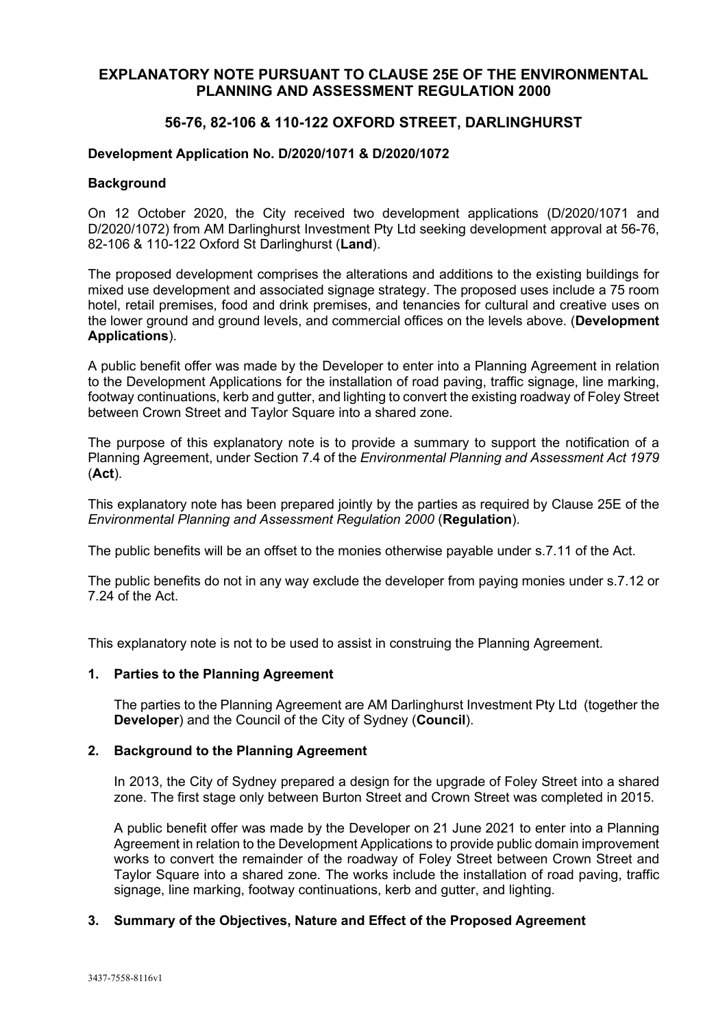# **EXPLANATORY NOTE PURSUANT TO CLAUSE 25E OF THE ENVIRONMENTAL PLANNING AND ASSESSMENT REGULATION 2000**

# **56-76, 82-106 & 110-122 OXFORD STREET, DARLINGHURST**

## **Development Application No. D/2020/1071 & D/2020/1072**

### **Background**

On 12 October 2020, the City received two development applications (D/2020/1071 and D/2020/1072) from AM Darlinghurst Investment Pty Ltd seeking development approval at 56-76, 82-106 & 110-122 Oxford St Darlinghurst (**Land**).

The proposed development comprises the alterations and additions to the existing buildings for mixed use development and associated signage strategy. The proposed uses include a 75 room hotel, retail premises, food and drink premises, and tenancies for cultural and creative uses on the lower ground and ground levels, and commercial offices on the levels above. (**Development Applications**).

A public benefit offer was made by the Developer to enter into a Planning Agreement in relation to the Development Applications for the installation of road paving, traffic signage, line marking, footway continuations, kerb and gutter, and lighting to convert the existing roadway of Foley Street between Crown Street and Taylor Square into a shared zone.

The purpose of this explanatory note is to provide a summary to support the notification of a Planning Agreement, under Section 7.4 of the *Environmental Planning and Assessment Act 1979*  (**Act**).

This explanatory note has been prepared jointly by the parties as required by Clause 25E of the *Environmental Planning and Assessment Regulation 2000* (**Regulation**).

The public benefits will be an offset to the monies otherwise payable under s.7.11 of the Act.

The public benefits do not in any way exclude the developer from paying monies under s.7.12 or 7.24 of the Act.

This explanatory note is not to be used to assist in construing the Planning Agreement.

### **1. Parties to the Planning Agreement**

The parties to the Planning Agreement are AM Darlinghurst Investment Pty Ltd (together the **Developer**) and the Council of the City of Sydney (**Council**).

### **2. Background to the Planning Agreement**

In 2013, the City of Sydney prepared a design for the upgrade of Foley Street into a shared zone. The first stage only between Burton Street and Crown Street was completed in 2015.

A public benefit offer was made by the Developer on 21 June 2021 to enter into a Planning Agreement in relation to the Development Applications to provide public domain improvement works to convert the remainder of the roadway of Foley Street between Crown Street and Taylor Square into a shared zone. The works include the installation of road paving, traffic signage, line marking, footway continuations, kerb and gutter, and lighting.

### **3. Summary of the Objectives, Nature and Effect of the Proposed Agreement**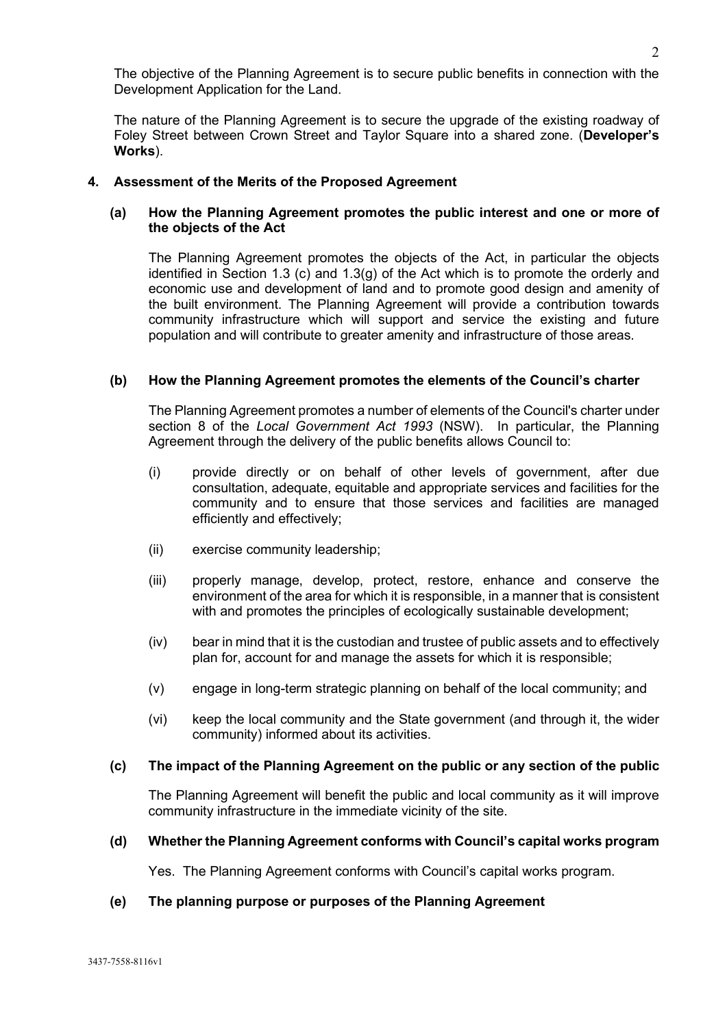The objective of the Planning Agreement is to secure public benefits in connection with the Development Application for the Land.

The nature of the Planning Agreement is to secure the upgrade of the existing roadway of Foley Street between Crown Street and Taylor Square into a shared zone. (**Developer's Works**).

# **4. Assessment of the Merits of the Proposed Agreement**

# **(a) How the Planning Agreement promotes the public interest and one or more of the objects of the Act**

The Planning Agreement promotes the objects of the Act, in particular the objects identified in Section 1.3 (c) and 1.3(g) of the Act which is to promote the orderly and economic use and development of land and to promote good design and amenity of the built environment. The Planning Agreement will provide a contribution towards community infrastructure which will support and service the existing and future population and will contribute to greater amenity and infrastructure of those areas.

# **(b) How the Planning Agreement promotes the elements of the Council's charter**

The Planning Agreement promotes a number of elements of the Council's charter under section 8 of the *Local Government Act 1993* (NSW). In particular, the Planning Agreement through the delivery of the public benefits allows Council to:

- (i) provide directly or on behalf of other levels of government, after due consultation, adequate, equitable and appropriate services and facilities for the community and to ensure that those services and facilities are managed efficiently and effectively;
- (ii) exercise community leadership;
- (iii) properly manage, develop, protect, restore, enhance and conserve the environment of the area for which it is responsible, in a manner that is consistent with and promotes the principles of ecologically sustainable development;
- (iv) bear in mind that it is the custodian and trustee of public assets and to effectively plan for, account for and manage the assets for which it is responsible;
- (v) engage in long-term strategic planning on behalf of the local community; and
- (vi) keep the local community and the State government (and through it, the wider community) informed about its activities.

### **(c) The impact of the Planning Agreement on the public or any section of the public**

The Planning Agreement will benefit the public and local community as it will improve community infrastructure in the immediate vicinity of the site.

### **(d) Whether the Planning Agreement conforms with Council's capital works program**

Yes. The Planning Agreement conforms with Council's capital works program.

## **(e) The planning purpose or purposes of the Planning Agreement**